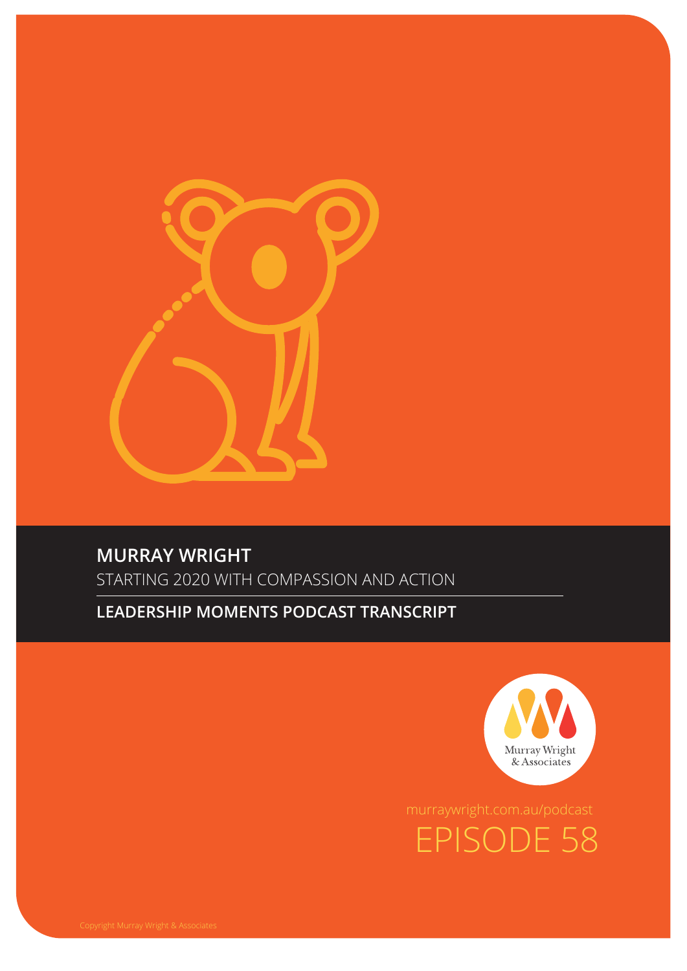

# **MURRAY WRIGHT**

STARTING 2020 WITH COMPASSION AND ACTION

### **LEADERSHIP MOMENTS PODCAST TRANSCRIPT**



EPISODE 58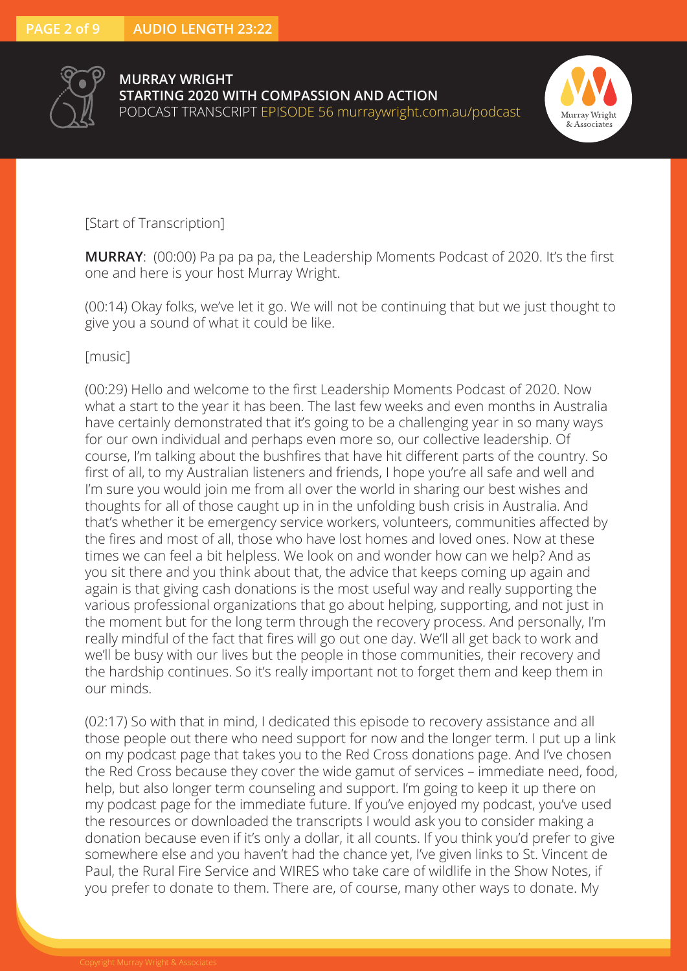



### [Start of Transcription]

**MURRAY**: (00:00) Pa pa pa pa, the Leadership Moments Podcast of 2020. It's the first one and here is your host Murray Wright.

(00:14) Okay folks, we've let it go. We will not be continuing that but we just thought to give you a sound of what it could be like.

#### [music]

(00:29) Hello and welcome to the first Leadership Moments Podcast of 2020. Now what a start to the year it has been. The last few weeks and even months in Australia have certainly demonstrated that it's going to be a challenging year in so many ways for our own individual and perhaps even more so, our collective leadership. Of course, I'm talking about the bushfires that have hit different parts of the country. So first of all, to my Australian listeners and friends, I hope you're all safe and well and I'm sure you would join me from all over the world in sharing our best wishes and thoughts for all of those caught up in in the unfolding bush crisis in Australia. And that's whether it be emergency service workers, volunteers, communities affected by the fires and most of all, those who have lost homes and loved ones. Now at these times we can feel a bit helpless. We look on and wonder how can we help? And as you sit there and you think about that, the advice that keeps coming up again and again is that giving cash donations is the most useful way and really supporting the various professional organizations that go about helping, supporting, and not just in the moment but for the long term through the recovery process. And personally, I'm really mindful of the fact that fires will go out one day. We'll all get back to work and we'll be busy with our lives but the people in those communities, their recovery and the hardship continues. So it's really important not to forget them and keep them in our minds.

(02:17) So with that in mind, I dedicated this episode to recovery assistance and all those people out there who need support for now and the longer term. I put up a link on my podcast page that takes you to the Red Cross donations page. And I've chosen the Red Cross because they cover the wide gamut of services – immediate need, food, help, but also longer term counseling and support. I'm going to keep it up there on my podcast page for the immediate future. If you've enjoyed my podcast, you've used the resources or downloaded the transcripts I would ask you to consider making a donation because even if it's only a dollar, it all counts. If you think you'd prefer to give somewhere else and you haven't had the chance yet, I've given links to St. Vincent de Paul, the Rural Fire Service and WIRES who take care of wildlife in the Show Notes, if you prefer to donate to them. There are, of course, many other ways to donate. My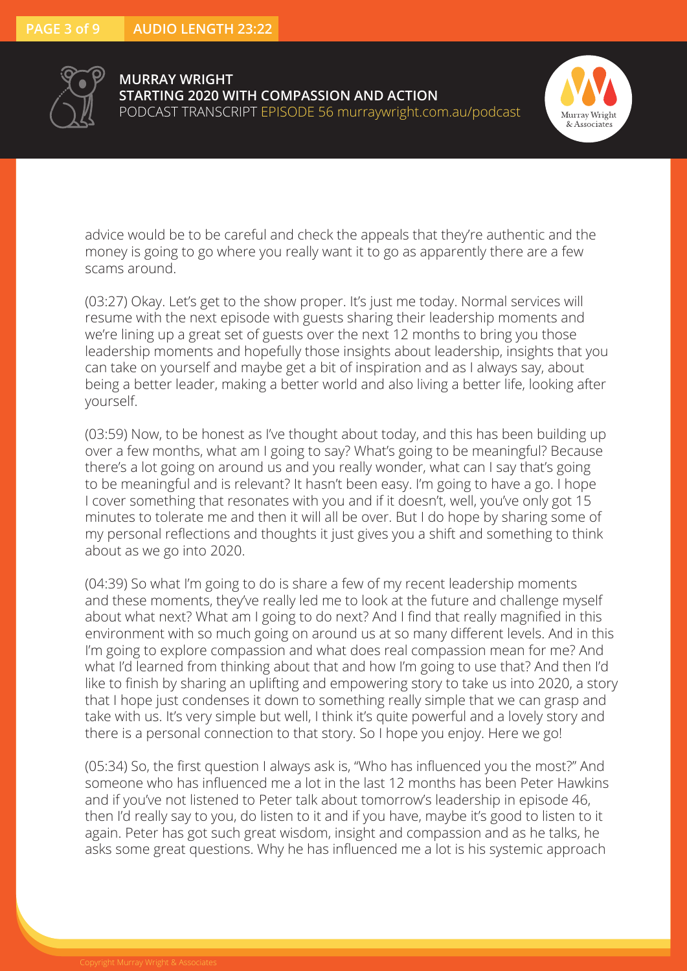



advice would be to be careful and check the appeals that they're authentic and the money is going to go where you really want it to go as apparently there are a few scams around.

(03:27) Okay. Let's get to the show proper. It's just me today. Normal services will resume with the next episode with guests sharing their leadership moments and we're lining up a great set of guests over the next 12 months to bring you those leadership moments and hopefully those insights about leadership, insights that you can take on yourself and maybe get a bit of inspiration and as I always say, about being a better leader, making a better world and also living a better life, looking after yourself.

(03:59) Now, to be honest as I've thought about today, and this has been building up over a few months, what am I going to say? What's going to be meaningful? Because there's a lot going on around us and you really wonder, what can I say that's going to be meaningful and is relevant? It hasn't been easy. I'm going to have a go. I hope I cover something that resonates with you and if it doesn't, well, you've only got 15 minutes to tolerate me and then it will all be over. But I do hope by sharing some of my personal reflections and thoughts it just gives you a shift and something to think about as we go into 2020.

(04:39) So what I'm going to do is share a few of my recent leadership moments and these moments, they've really led me to look at the future and challenge myself about what next? What am I going to do next? And I find that really magnified in this environment with so much going on around us at so many different levels. And in this I'm going to explore compassion and what does real compassion mean for me? And what I'd learned from thinking about that and how I'm going to use that? And then I'd like to finish by sharing an uplifting and empowering story to take us into 2020, a story that I hope just condenses it down to something really simple that we can grasp and take with us. It's very simple but well, I think it's quite powerful and a lovely story and there is a personal connection to that story. So I hope you enjoy. Here we go!

(05:34) So, the first question I always ask is, "Who has influenced you the most?" And someone who has influenced me a lot in the last 12 months has been Peter Hawkins and if you've not listened to Peter talk about tomorrow's leadership in episode 46, then I'd really say to you, do listen to it and if you have, maybe it's good to listen to it again. Peter has got such great wisdom, insight and compassion and as he talks, he asks some great questions. Why he has influenced me a lot is his systemic approach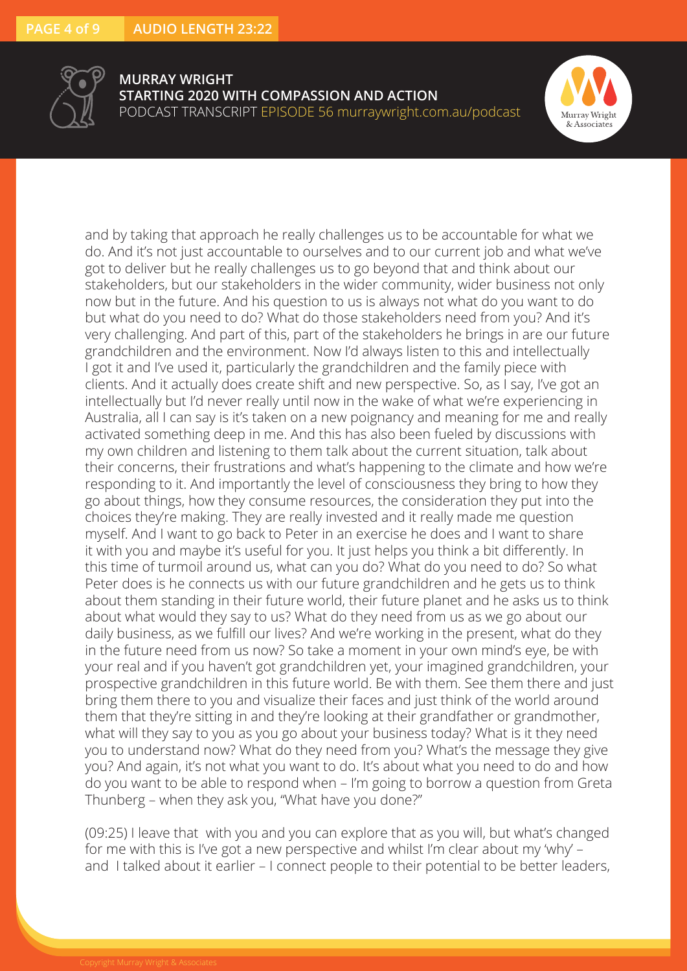



and by taking that approach he really challenges us to be accountable for what we do. And it's not just accountable to ourselves and to our current job and what we've got to deliver but he really challenges us to go beyond that and think about our stakeholders, but our stakeholders in the wider community, wider business not only now but in the future. And his question to us is always not what do you want to do but what do you need to do? What do those stakeholders need from you? And it's very challenging. And part of this, part of the stakeholders he brings in are our future grandchildren and the environment. Now I'd always listen to this and intellectually I got it and I've used it, particularly the grandchildren and the family piece with clients. And it actually does create shift and new perspective. So, as I say, I've got an intellectually but I'd never really until now in the wake of what we're experiencing in Australia, all I can say is it's taken on a new poignancy and meaning for me and really activated something deep in me. And this has also been fueled by discussions with my own children and listening to them talk about the current situation, talk about their concerns, their frustrations and what's happening to the climate and how we're responding to it. And importantly the level of consciousness they bring to how they go about things, how they consume resources, the consideration they put into the choices they're making. They are really invested and it really made me question myself. And I want to go back to Peter in an exercise he does and I want to share it with you and maybe it's useful for you. It just helps you think a bit differently. In this time of turmoil around us, what can you do? What do you need to do? So what Peter does is he connects us with our future grandchildren and he gets us to think about them standing in their future world, their future planet and he asks us to think about what would they say to us? What do they need from us as we go about our daily business, as we fulfill our lives? And we're working in the present, what do they in the future need from us now? So take a moment in your own mind's eye, be with your real and if you haven't got grandchildren yet, your imagined grandchildren, your prospective grandchildren in this future world. Be with them. See them there and just bring them there to you and visualize their faces and just think of the world around them that they're sitting in and they're looking at their grandfather or grandmother, what will they say to you as you go about your business today? What is it they need you to understand now? What do they need from you? What's the message they give you? And again, it's not what you want to do. It's about what you need to do and how do you want to be able to respond when – I'm going to borrow a question from Greta Thunberg – when they ask you, "What have you done?"

(09:25) I leave that with you and you can explore that as you will, but what's changed for me with this is I've got a new perspective and whilst I'm clear about my 'why' – and I talked about it earlier – I connect people to their potential to be better leaders,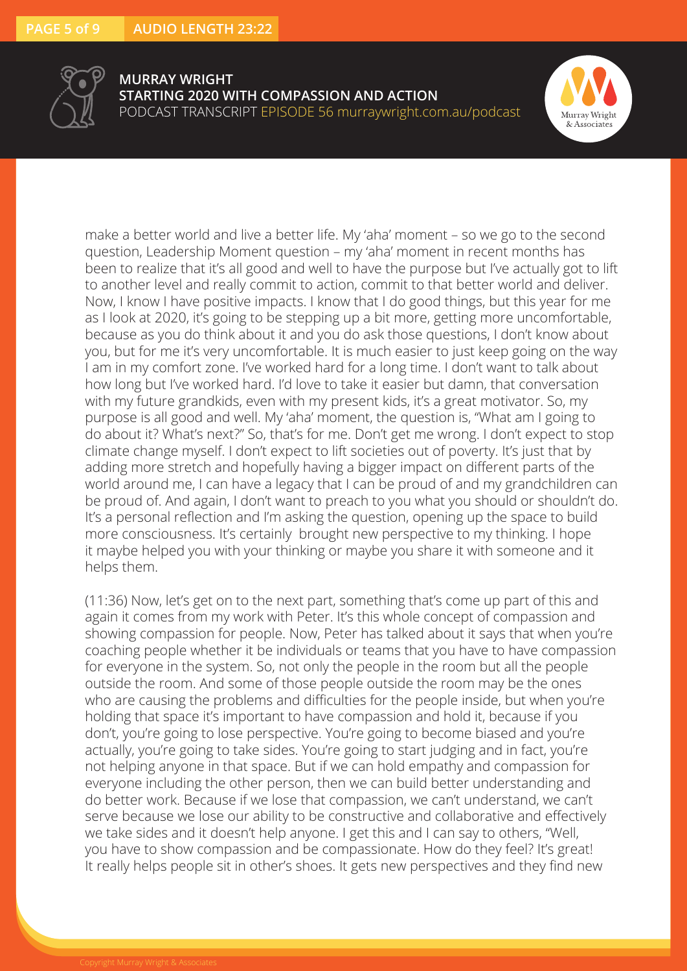



make a better world and live a better life. My 'aha' moment – so we go to the second question, Leadership Moment question – my 'aha' moment in recent months has been to realize that it's all good and well to have the purpose but I've actually got to lift to another level and really commit to action, commit to that better world and deliver. Now, I know I have positive impacts. I know that I do good things, but this year for me as I look at 2020, it's going to be stepping up a bit more, getting more uncomfortable, because as you do think about it and you do ask those questions, I don't know about you, but for me it's very uncomfortable. It is much easier to just keep going on the way I am in my comfort zone. I've worked hard for a long time. I don't want to talk about how long but I've worked hard. I'd love to take it easier but damn, that conversation with my future grandkids, even with my present kids, it's a great motivator. So, my purpose is all good and well. My 'aha' moment, the question is, "What am I going to do about it? What's next?" So, that's for me. Don't get me wrong. I don't expect to stop climate change myself. I don't expect to lift societies out of poverty. It's just that by adding more stretch and hopefully having a bigger impact on different parts of the world around me, I can have a legacy that I can be proud of and my grandchildren can be proud of. And again, I don't want to preach to you what you should or shouldn't do. It's a personal reflection and I'm asking the question, opening up the space to build more consciousness. It's certainly brought new perspective to my thinking. I hope it maybe helped you with your thinking or maybe you share it with someone and it helps them.

(11:36) Now, let's get on to the next part, something that's come up part of this and again it comes from my work with Peter. It's this whole concept of compassion and showing compassion for people. Now, Peter has talked about it says that when you're coaching people whether it be individuals or teams that you have to have compassion for everyone in the system. So, not only the people in the room but all the people outside the room. And some of those people outside the room may be the ones who are causing the problems and difficulties for the people inside, but when you're holding that space it's important to have compassion and hold it, because if you don't, you're going to lose perspective. You're going to become biased and you're actually, you're going to take sides. You're going to start judging and in fact, you're not helping anyone in that space. But if we can hold empathy and compassion for everyone including the other person, then we can build better understanding and do better work. Because if we lose that compassion, we can't understand, we can't serve because we lose our ability to be constructive and collaborative and effectively we take sides and it doesn't help anyone. I get this and I can say to others, "Well, you have to show compassion and be compassionate. How do they feel? It's great! It really helps people sit in other's shoes. It gets new perspectives and they find new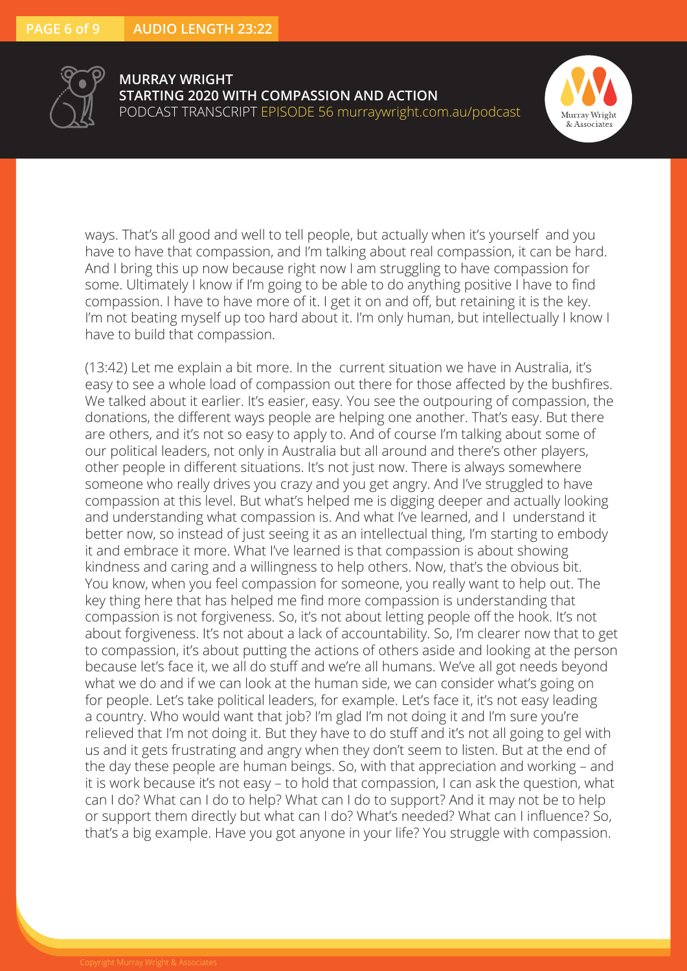



ways. That's all good and well to tell people, but actually when it's yourself and you have to have that compassion, and I'm talking about real compassion, it can be hard. And I bring this up now because right now I am struggling to have compassion for some. Ultimately I know if I'm going to be able to do anything positive I have to find compassion. I have to have more of it. I get it on and off, but retaining it is the key. I'm not beating myself up too hard about it. I'm only human, but intellectually I know I have to build that compassion.

(13:42) Let me explain a bit more. In the current situation we have in Australia, it's easy to see a whole load of compassion out there for those affected by the bushfires. We talked about it earlier. It's easier, easy. You see the outpouring of compassion, the donations, the different ways people are helping one another. That's easy. But there are others, and it's not so easy to apply to. And of course I'm talking about some of our political leaders, not only in Australia but all around and there's other players, other people in different situations. It's not just now. There is always somewhere someone who really drives you crazy and you get angry. And I've struggled to have compassion at this level. But what's helped me is digging deeper and actually looking and understanding what compassion is. And what I've learned, and I understand it better now, so instead of just seeing it as an intellectual thing, I'm starting to embody it and embrace it more. What I've learned is that compassion is about showing kindness and caring and a willingness to help others. Now, that's the obvious bit. You know, when you feel compassion for someone, you really want to help out. The key thing here that has helped me find more compassion is understanding that compassion is not forgiveness. So, it's not about letting people off the hook. It's not about forgiveness. It's not about a lack of accountability. So, I'm clearer now that to get to compassion, it's about putting the actions of others aside and looking at the person because let's face it, we all do stuff and we're all humans. We've all got needs beyond what we do and if we can look at the human side, we can consider what's going on for people. Let's take political leaders, for example. Let's face it, it's not easy leading a country. Who would want that job? I'm glad I'm not doing it and I'm sure you're relieved that I'm not doing it. But they have to do stuff and it's not all going to gel with us and it gets frustrating and angry when they don't seem to listen. But at the end of the day these people are human beings. So, with that appreciation and working – and it is work because it's not easy – to hold that compassion, I can ask the question, what can I do? What can I do to help? What can I do to support? And it may not be to help or support them directly but what can I do? What's needed? What can I influence? So, that's a big example. Have you got anyone in your life? You struggle with compassion.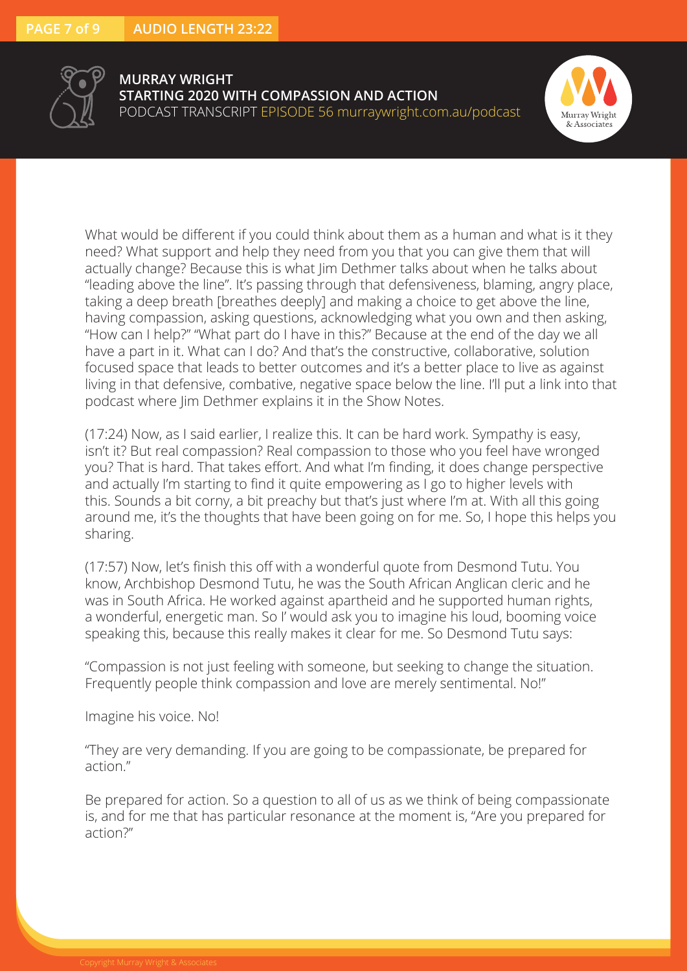



What would be different if you could think about them as a human and what is it they need? What support and help they need from you that you can give them that will actually change? Because this is what Jim Dethmer talks about when he talks about "leading above the line". It's passing through that defensiveness, blaming, angry place, taking a deep breath [breathes deeply] and making a choice to get above the line, having compassion, asking questions, acknowledging what you own and then asking, "How can I help?" "What part do I have in this?" Because at the end of the day we all have a part in it. What can I do? And that's the constructive, collaborative, solution focused space that leads to better outcomes and it's a better place to live as against living in that defensive, combative, negative space below the line. I'll put a link into that podcast where Jim Dethmer explains it in the Show Notes.

(17:24) Now, as I said earlier, I realize this. It can be hard work. Sympathy is easy, isn't it? But real compassion? Real compassion to those who you feel have wronged you? That is hard. That takes effort. And what I'm finding, it does change perspective and actually I'm starting to find it quite empowering as I go to higher levels with this. Sounds a bit corny, a bit preachy but that's just where I'm at. With all this going around me, it's the thoughts that have been going on for me. So, I hope this helps you sharing.

(17:57) Now, let's finish this off with a wonderful quote from Desmond Tutu. You know, Archbishop Desmond Tutu, he was the South African Anglican cleric and he was in South Africa. He worked against apartheid and he supported human rights, a wonderful, energetic man. So I' would ask you to imagine his loud, booming voice speaking this, because this really makes it clear for me. So Desmond Tutu says:

"Compassion is not just feeling with someone, but seeking to change the situation. Frequently people think compassion and love are merely sentimental. No!"

Imagine his voice. No!

"They are very demanding. If you are going to be compassionate, be prepared for action."

Be prepared for action. So a question to all of us as we think of being compassionate is, and for me that has particular resonance at the moment is, "Are you prepared for action?"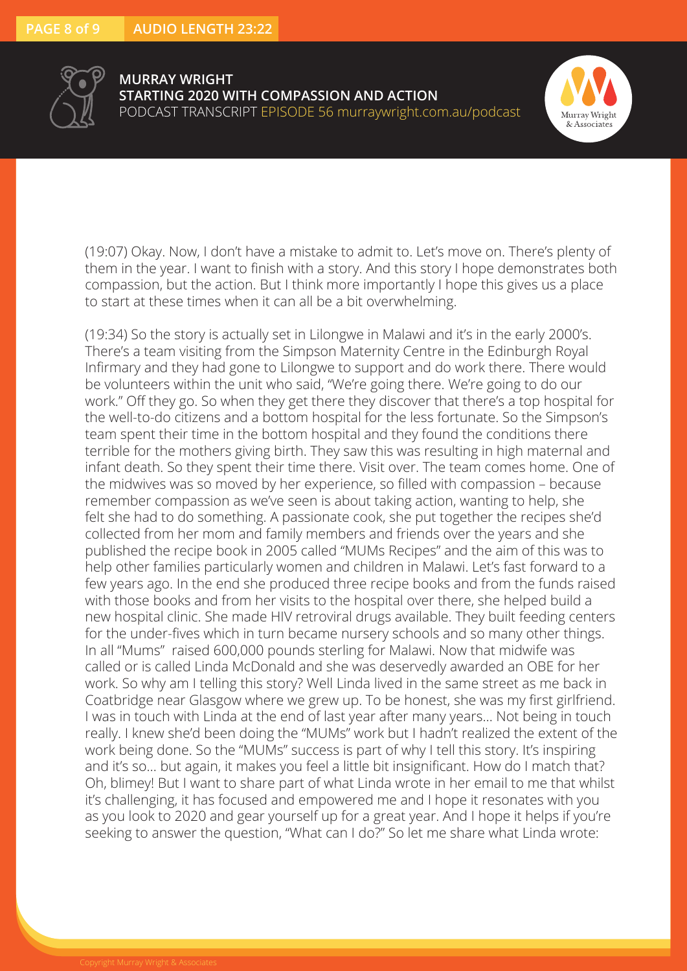



(19:07) Okay. Now, I don't have a mistake to admit to. Let's move on. There's plenty of them in the year. I want to finish with a story. And this story I hope demonstrates both compassion, but the action. But I think more importantly I hope this gives us a place to start at these times when it can all be a bit overwhelming.

(19:34) So the story is actually set in Lilongwe in Malawi and it's in the early 2000's. There's a team visiting from the Simpson Maternity Centre in the Edinburgh Royal Infirmary and they had gone to Lilongwe to support and do work there. There would be volunteers within the unit who said, "We're going there. We're going to do our work." Off they go. So when they get there they discover that there's a top hospital for the well-to-do citizens and a bottom hospital for the less fortunate. So the Simpson's team spent their time in the bottom hospital and they found the conditions there terrible for the mothers giving birth. They saw this was resulting in high maternal and infant death. So they spent their time there. Visit over. The team comes home. One of the midwives was so moved by her experience, so filled with compassion – because remember compassion as we've seen is about taking action, wanting to help, she felt she had to do something. A passionate cook, she put together the recipes she'd collected from her mom and family members and friends over the years and she published the recipe book in 2005 called "MUMs Recipes" and the aim of this was to help other families particularly women and children in Malawi. Let's fast forward to a few years ago. In the end she produced three recipe books and from the funds raised with those books and from her visits to the hospital over there, she helped build a new hospital clinic. She made HIV retroviral drugs available. They built feeding centers for the under-fives which in turn became nursery schools and so many other things. In all "Mums" raised 600,000 pounds sterling for Malawi. Now that midwife was called or is called Linda McDonald and she was deservedly awarded an OBE for her work. So why am I telling this story? Well Linda lived in the same street as me back in Coatbridge near Glasgow where we grew up. To be honest, she was my first girlfriend. I was in touch with Linda at the end of last year after many years… Not being in touch really. I knew she'd been doing the "MUMs" work but I hadn't realized the extent of the work being done. So the "MUMs" success is part of why I tell this story. It's inspiring and it's so… but again, it makes you feel a little bit insignificant. How do I match that? Oh, blimey! But I want to share part of what Linda wrote in her email to me that whilst it's challenging, it has focused and empowered me and I hope it resonates with you as you look to 2020 and gear yourself up for a great year. And I hope it helps if you're seeking to answer the question, "What can I do?" So let me share what Linda wrote: